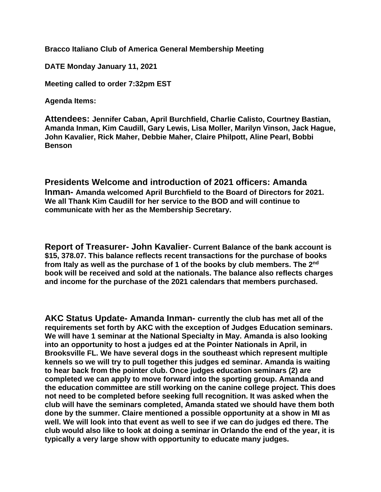**Bracco Italiano Club of America General Membership Meeting**

**DATE Monday January 11, 2021** 

**Meeting called to order 7:32pm EST**

**Agenda Items:** 

**Attendees: Jennifer Caban, April Burchfield, Charlie Calisto, Courtney Bastian, Amanda Inman, Kim Caudill, Gary Lewis, Lisa Moller, Marilyn Vinson, Jack Hague, John Kavalier, Rick Maher, Debbie Maher, Claire Philpott, Aline Pearl, Bobbi Benson**

**Presidents Welcome and introduction of 2021 officers: Amanda Inman- Amanda welcomed April Burchfield to the Board of Directors for 2021. We all Thank Kim Caudill for her service to the BOD and will continue to communicate with her as the Membership Secretary.**

**Report of Treasurer- John Kavalier- Current Balance of the bank account is \$15, 378.07. This balance reflects recent transactions for the purchase of books from Italy as well as the purchase of 1 of the books by club members. The 2nd book will be received and sold at the nationals. The balance also reflects charges and income for the purchase of the 2021 calendars that members purchased.**

**AKC Status Update- Amanda Inman- currently the club has met all of the requirements set forth by AKC with the exception of Judges Education seminars. We will have 1 seminar at the National Specialty in May. Amanda is also looking into an opportunity to host a judges ed at the Pointer Nationals in April, in Brooksville FL. We have several dogs in the southeast which represent multiple kennels so we will try to pull together this judges ed seminar. Amanda is waiting to hear back from the pointer club. Once judges education seminars (2) are completed we can apply to move forward into the sporting group. Amanda and the education committee are still working on the canine college project. This does not need to be completed before seeking full recognition. It was asked when the club will have the seminars completed, Amanda stated we should have them both done by the summer. Claire mentioned a possible opportunity at a show in MI as well. We will look into that event as well to see if we can do judges ed there. The club would also like to look at doing a seminar in Orlando the end of the year, it is typically a very large show with opportunity to educate many judges.**